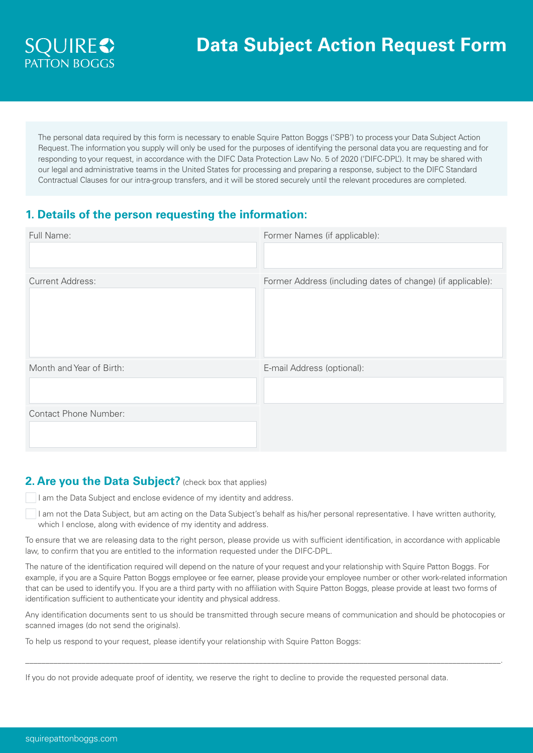

The personal data required by this form is necessary to enable Squire Patton Boggs ('SPB') to process your Data Subject Action Request. The information you supply will only be used for the purposes of identifying the personal data you are requesting and for responding to your request, in accordance with the DIFC Data Protection Law No. 5 of 2020 ('DIFC-DPL'). It may be shared with our legal and administrative teams in the United States for processing and preparing a response, subject to the DIFC Standard Contractual Clauses for our intra-group transfers, and it will be stored securely until the relevant procedures are completed.

## **1. Details of the person requesting the information:**

| Full Name:                   | Former Names (if applicable):                               |
|------------------------------|-------------------------------------------------------------|
|                              |                                                             |
| <b>Current Address:</b>      | Former Address (including dates of change) (if applicable): |
| Month and Year of Birth:     | E-mail Address (optional):                                  |
|                              |                                                             |
| <b>Contact Phone Number:</b> |                                                             |
|                              |                                                             |

### **2. Are you the Data Subject?** (check box that applies)

I am the Data Subject and enclose evidence of my identity and address.

 I am not the Data Subject, but am acting on the Data Subject's behalf as his/her personal representative. I have written authority, which I enclose, along with evidence of my identity and address.

To ensure that we are releasing data to the right person, please provide us with sufficient identification, in accordance with applicable law, to confirm that you are entitled to the information requested under the DIFC-DPL.

The nature of the identification required will depend on the nature of your request and your relationship with Squire Patton Boggs. For example, if you are a Squire Patton Boggs employee or fee earner, please provide your employee number or other work-related information that can be used to identify you. If you are a third party with no affiliation with Squire Patton Boggs, please provide at least two forms of identification sufficient to authenticate your identity and physical address.

Any identification documents sent to us should be transmitted through secure means of communication and should be photocopies or scanned images (do not send the originals).

\_\_\_\_\_\_\_\_\_\_\_\_\_\_\_\_\_\_\_\_\_\_\_\_\_\_\_\_\_\_\_\_\_\_\_\_\_\_\_\_\_\_\_\_\_\_\_\_\_\_\_\_\_\_\_\_\_\_\_\_\_\_\_\_\_\_\_\_\_\_\_\_\_\_\_\_\_\_\_\_\_\_\_\_\_\_\_\_\_\_\_\_\_\_\_\_\_\_\_\_\_\_\_\_\_\_\_\_\_\_\_\_\_\_\_\_\_\_.

To help us respond to your request, please identify your relationship with Squire Patton Boggs:

If you do not provide adequate proof of identity, we reserve the right to decline to provide the requested personal data.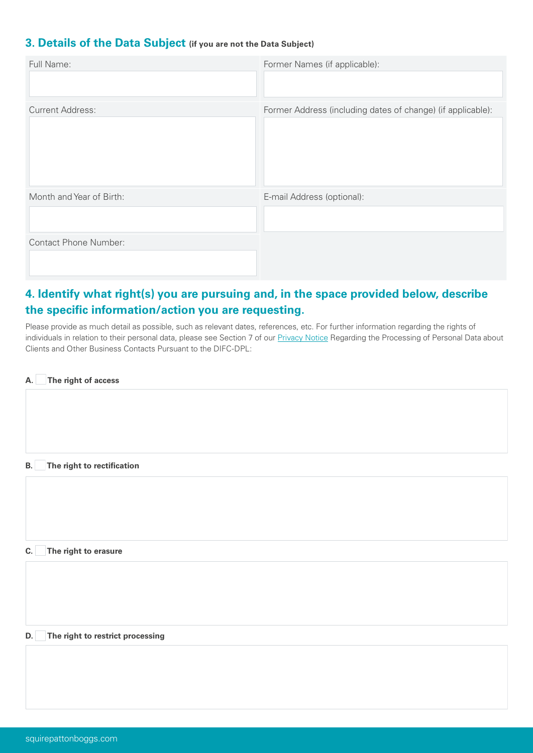### **3. Details of the Data Subject (if you are not the Data Subject)**

| Full Name:                   | Former Names (if applicable):                               |
|------------------------------|-------------------------------------------------------------|
| <b>Current Address:</b>      | Former Address (including dates of change) (if applicable): |
| Month and Year of Birth:     | E-mail Address (optional):                                  |
| <b>Contact Phone Number:</b> |                                                             |

# **4. Identify what right(s) you are pursuing and, in the space provided below, describe the specific information/action you are requesting.**

Please provide as much detail as possible, such as relevant dates, references, etc. For further information regarding the rights of individuals in relation to their personal data, please see Section 7 of our **[Privacy Notice](https://www.squirepattonboggs.com/en/general-content/difc-privacy-notice) Regarding the Processing of Personal Data about** Clients and Other Business Contacts Pursuant to the DIFC-DPL:

|--|

**B. The right to rectification** 

**C. The right to erasure** 

**D. The right to restrict processing**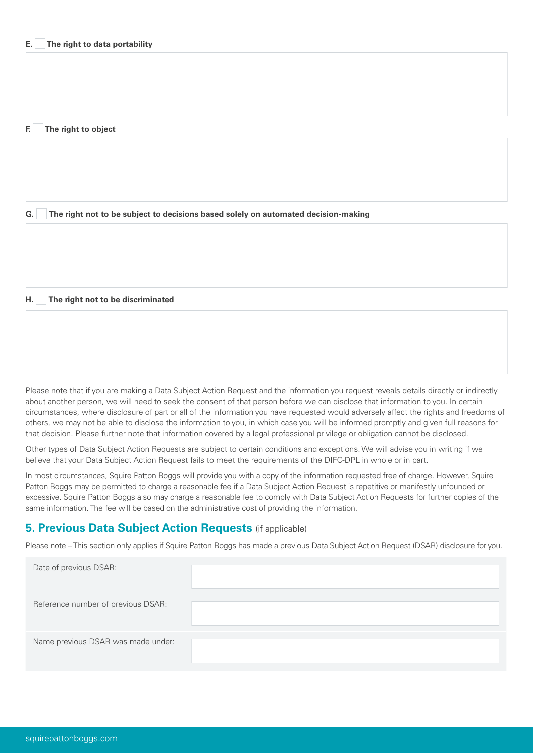#### **F. The right to object**

**G. The right not to be subject to decisions based solely on automated decision-making**

#### **H. The right not to be discriminated**

Please note that if you are making a Data Subject Action Request and the information you request reveals details directly or indirectly about another person, we will need to seek the consent of that person before we can disclose that information to you. In certain circumstances, where disclosure of part or all of the information you have requested would adversely affect the rights and freedoms of others, we may not be able to disclose the information to you, in which case you will be informed promptly and given full reasons for that decision. Please further note that information covered by a legal professional privilege or obligation cannot be disclosed.

Other types of Data Subject Action Requests are subject to certain conditions and exceptions. We will advise you in writing if we believe that your Data Subject Action Request fails to meet the requirements of the DIFC-DPL in whole or in part.

In most circumstances, Squire Patton Boggs will provide you with a copy of the information requested free of charge. However, Squire Patton Boggs may be permitted to charge a reasonable fee if a Data Subject Action Request is repetitive or manifestly unfounded or excessive. Squire Patton Boggs also may charge a reasonable fee to comply with Data Subject Action Requests for further copies of the same information. The fee will be based on the administrative cost of providing the information.

### **5. Previous Data Subject Action Requests** (if applicable)

Please note – This section only applies if Squire Patton Boggs has made a previous Data Subject Action Request (DSAR) disclosure for you.

| Date of previous DSAR:             |  |
|------------------------------------|--|
| Reference number of previous DSAR: |  |
| Name previous DSAR was made under: |  |